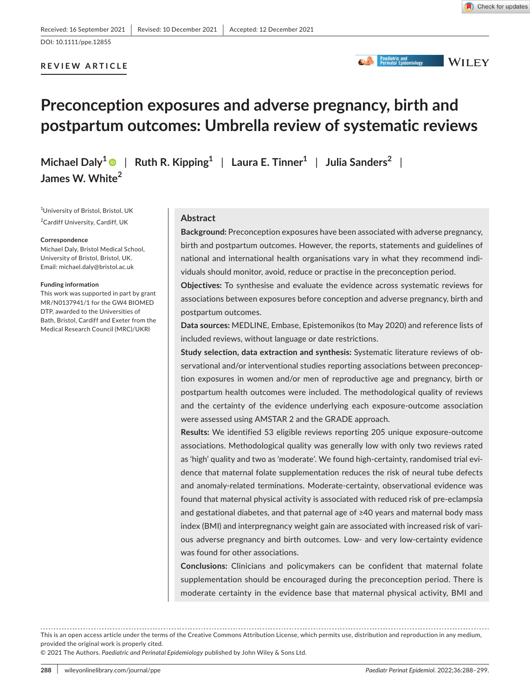**CA Paediatric and**<br> **WILEY** 

# **REVIEW ARTICLE**

DOI: 10.1111/ppe.12855

# **Preconception exposures and adverse pregnancy, birth and postpartum outcomes: Umbrella review of systematic reviews**

**Michael Daly**<sup>[1](https://orcid.org/0000-0001-6694-3835)</sup> | Ruth R. Kipping<sup>1</sup> | Laura E. Tinner<sup>1</sup> | Julia Sanders<sup>2</sup> | **James W. White2**

1 University of Bristol, Bristol, UK <sup>2</sup>Cardiff University, Cardiff, UK

#### **Correspondence**

Michael Daly, Bristol Medical School, University of Bristol, Bristol, UK. Email: [michael.daly@bristol.ac.uk](mailto:michael.daly@bristol.ac.uk)

#### **Funding information**

This work was supported in part by grant MR/N0137941/1 for the GW4 BIOMED DTP, awarded to the Universities of Bath, Bristol, Cardiff and Exeter from the Medical Research Council (MRC)/UKRI

### **Abstract**

**Background:** Preconception exposures have been associated with adverse pregnancy, birth and postpartum outcomes. However, the reports, statements and guidelines of national and international health organisations vary in what they recommend individuals should monitor, avoid, reduce or practise in the preconception period.

**Objectives:** To synthesise and evaluate the evidence across systematic reviews for associations between exposures before conception and adverse pregnancy, birth and postpartum outcomes.

**Data sources:** MEDLINE, Embase, Epistemonikos (to May 2020) and reference lists of included reviews, without language or date restrictions.

**Study selection, data extraction and synthesis:** Systematic literature reviews of observational and/or interventional studies reporting associations between preconception exposures in women and/or men of reproductive age and pregnancy, birth or postpartum health outcomes were included. The methodological quality of reviews and the certainty of the evidence underlying each exposure-outcome association were assessed using AMSTAR 2 and the GRADE approach.

**Results:** We identified 53 eligible reviews reporting 205 unique exposure-outcome associations. Methodological quality was generally low with only two reviews rated as 'high' quality and two as 'moderate'. We found high-certainty, randomised trial evidence that maternal folate supplementation reduces the risk of neural tube defects and anomaly-related terminations. Moderate-certainty, observational evidence was found that maternal physical activity is associated with reduced risk of pre-eclampsia and gestational diabetes, and that paternal age of ≥40 years and maternal body mass index (BMI) and interpregnancy weight gain are associated with increased risk of various adverse pregnancy and birth outcomes. Low- and very low-certainty evidence was found for other associations.

**Conclusions:** Clinicians and policymakers can be confident that maternal folate supplementation should be encouraged during the preconception period. There is moderate certainty in the evidence base that maternal physical activity, BMI and

This is an open access article under the terms of the [Creative Commons Attribution](http://creativecommons.org/licenses/by/4.0/) License, which permits use, distribution and reproduction in any medium, provided the original work is properly cited.

© 2021 The Authors. *Paediatric and Perinatal Epidemiology* published by John Wiley & Sons Ltd.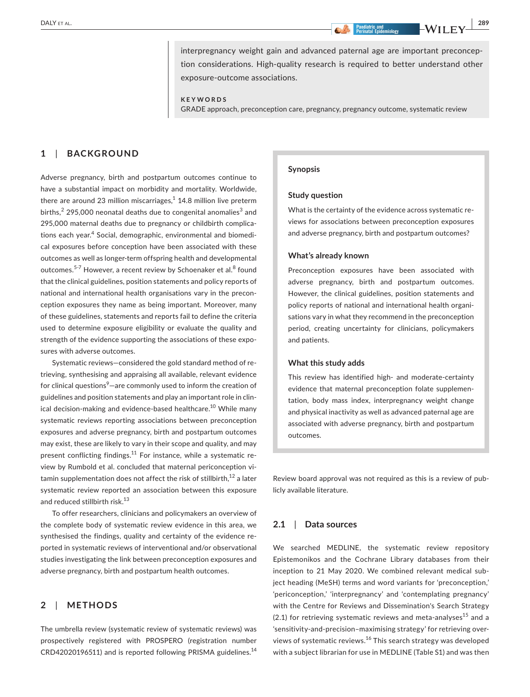**DALY** ET AL. **All the set al. 289 CONSUMISTION CONSUMISTION CONSUMING CONSUMING CONSUMING CONSUMING CONSUMING CONSUMING CONSUMING CONSUMING CONSUMING CONSUMING CONSUMING CONSUMING CONSUMING CONSUMING CONSUMING CONSUMING** 

interpregnancy weight gain and advanced paternal age are important preconception considerations. High-quality research is required to better understand other exposure-outcome associations.

**KEYWORDS**

GRADE approach, preconception care, pregnancy, pregnancy outcome, systematic review

# **1**  | **BACKGROUND**

Adverse pregnancy, birth and postpartum outcomes continue to have a substantial impact on morbidity and mortality. Worldwide, there are around 23 million miscarriages, $^1$  14.8 million live preterm births, $^2$  295,000 neonatal deaths due to congenital anomalies $^3$  and 295,000 maternal deaths due to pregnancy or childbirth complications each year.<sup>4</sup> Social, demographic, environmental and biomedical exposures before conception have been associated with these outcomes as well as longer-term offspring health and developmental outcomes.<sup>5-7</sup> However, a recent review by Schoenaker et al.<sup>8</sup> found that the clinical guidelines, position statements and policy reports of national and international health organisations vary in the preconception exposures they name as being important. Moreover, many of these guidelines, statements and reports fail to define the criteria used to determine exposure eligibility or evaluate the quality and strength of the evidence supporting the associations of these exposures with adverse outcomes.

Systematic reviews—considered the gold standard method of retrieving, synthesising and appraising all available, relevant evidence for clinical questions<sup>9</sup>—are commonly used to inform the creation of guidelines and position statements and play an important role in clinical decision-making and evidence-based healthcare.<sup>10</sup> While many systematic reviews reporting associations between preconception exposures and adverse pregnancy, birth and postpartum outcomes may exist, these are likely to vary in their scope and quality, and may present conflicting findings.<sup>11</sup> For instance, while a systematic review by Rumbold et al. concluded that maternal periconception vitamin supplementation does not affect the risk of stillbirth, $^{12}$  a later systematic review reported an association between this exposure and reduced stillbirth risk.<sup>13</sup>

To offer researchers, clinicians and policymakers an overview of the complete body of systematic review evidence in this area, we synthesised the findings, quality and certainty of the evidence reported in systematic reviews of interventional and/or observational studies investigating the link between preconception exposures and adverse pregnancy, birth and postpartum health outcomes.

# **2**  | **METHODS**

The umbrella review (systematic review of systematic reviews) was prospectively registered with PROSPERO (registration number CRD42020196511) and is reported following PRISMA guidelines.<sup>14</sup>

#### **Synopsis**

#### **Study question**

What is the certainty of the evidence across systematic reviews for associations between preconception exposures and adverse pregnancy, birth and postpartum outcomes?

#### **What's already known**

Preconception exposures have been associated with adverse pregnancy, birth and postpartum outcomes. However, the clinical guidelines, position statements and policy reports of national and international health organisations vary in what they recommend in the preconception period, creating uncertainty for clinicians, policymakers and patients.

#### **What this study adds**

This review has identified high- and moderate-certainty evidence that maternal preconception folate supplementation, body mass index, interpregnancy weight change and physical inactivity as well as advanced paternal age are associated with adverse pregnancy, birth and postpartum outcomes.

Review board approval was not required as this is a review of publicly available literature.

#### **2.1**  | **Data sources**

We searched MEDLINE, the systematic review repository Epistemonikos and the Cochrane Library databases from their inception to 21 May 2020. We combined relevant medical subject heading (MeSH) terms and word variants for 'preconception,' 'periconception,' 'interpregnancy' and 'contemplating pregnancy' with the Centre for Reviews and Dissemination's Search Strategy  $(2.1)$  for retrieving systematic reviews and meta-analyses<sup>15</sup> and a 'sensitivity-and-precision–maximising strategy' for retrieving overviews of systematic reviews.<sup>16</sup> This search strategy was developed with a subject librarian for use in MEDLINE (Table S1) and was then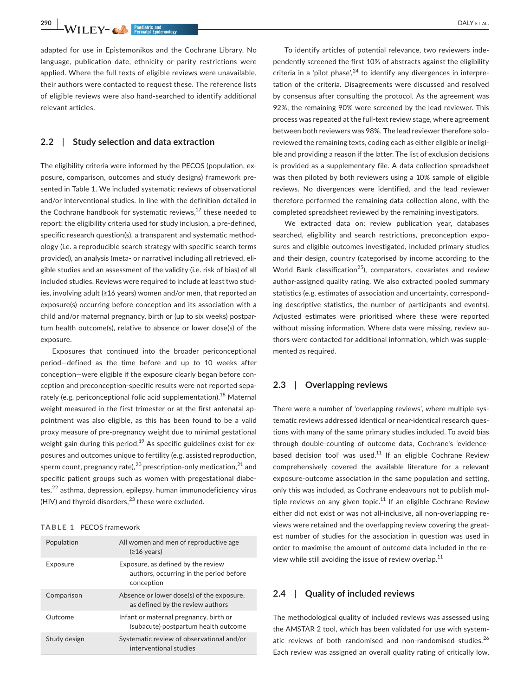**290 • WII FV- A Pagilatric and DALY ET AL.** 

adapted for use in Epistemonikos and the Cochrane Library. No language, publication date, ethnicity or parity restrictions were applied. Where the full texts of eligible reviews were unavailable, their authors were contacted to request these. The reference lists of eligible reviews were also hand-searched to identify additional relevant articles.

# **2.2**  | **Study selection and data extraction**

The eligibility criteria were informed by the PECOS (population, exposure, comparison, outcomes and study designs) framework presented in Table 1. We included systematic reviews of observational and/or interventional studies. In line with the definition detailed in the Cochrane handbook for systematic reviews, $17$  these needed to report: the eligibility criteria used for study inclusion, a pre-defined, specific research question(s), a transparent and systematic methodology (i.e. a reproducible search strategy with specific search terms provided), an analysis (meta- or narrative) including all retrieved, eligible studies and an assessment of the validity (i.e. risk of bias) of all included studies. Reviews were required to include at least two studies, involving adult (≥16 years) women and/or men, that reported an exposure(s) occurring before conception and its association with a child and/or maternal pregnancy, birth or (up to six weeks) postpartum health outcome(s), relative to absence or lower dose(s) of the exposure.

Exposures that continued into the broader periconceptional period—defined as the time before and up to 10 weeks after conception—were eligible if the exposure clearly began before conception and preconception-specific results were not reported separately (e.g. periconceptional folic acid supplementation).<sup>18</sup> Maternal weight measured in the first trimester or at the first antenatal appointment was also eligible, as this has been found to be a valid proxy measure of pre-pregnancy weight due to minimal gestational weight gain during this period.<sup>19</sup> As specific guidelines exist for exposures and outcomes unique to fertility (e.g. assisted reproduction, sperm count, pregnancy rate),  $20$  prescription-only medication,  $21$  and specific patient groups such as women with pregestational diabe $tes, <sup>22</sup>$  asthma, depression, epilepsy, human immunodeficiency virus (HIV) and thyroid disorders, $^{23}$  these were excluded.

#### **TABLE 1** PECOS framework

| Population   | All women and men of reproductive age<br>$(≥16 \text{ years})$                              |
|--------------|---------------------------------------------------------------------------------------------|
| Exposure     | Exposure, as defined by the review<br>authors, occurring in the period before<br>conception |
| Comparison   | Absence or lower dose(s) of the exposure,<br>as defined by the review authors               |
| Outcome      | Infant or maternal pregnancy, birth or<br>(subacute) postpartum health outcome              |
| Study design | Systematic review of observational and/or<br>interventional studies                         |

To identify articles of potential relevance, two reviewers independently screened the first 10% of abstracts against the eligibility criteria in a 'pilot phase',  $24$  to identify any divergences in interpretation of the criteria. Disagreements were discussed and resolved by consensus after consulting the protocol. As the agreement was 92%, the remaining 90% were screened by the lead reviewer. This process was repeated at the full-text review stage, where agreement between both reviewers was 98%. The lead reviewer therefore soloreviewed the remaining texts, coding each as either eligible or ineligible and providing a reason if the latter. The list of exclusion decisions is provided as a supplementary file. A data collection spreadsheet was then piloted by both reviewers using a 10% sample of eligible reviews. No divergences were identified, and the lead reviewer therefore performed the remaining data collection alone, with the completed spreadsheet reviewed by the remaining investigators.

We extracted data on: review publication year, databases searched, eligibility and search restrictions, preconception exposures and eligible outcomes investigated, included primary studies and their design, country (categorised by income according to the World Bank classification<sup>25</sup>), comparators, covariates and review author-assigned quality rating. We also extracted pooled summary statistics (e.g. estimates of association and uncertainty, corresponding descriptive statistics, the number of participants and events). Adjusted estimates were prioritised where these were reported without missing information. Where data were missing, review authors were contacted for additional information, which was supplemented as required.

#### **2.3**  | **Overlapping reviews**

There were a number of 'overlapping reviews', where multiple systematic reviews addressed identical or near-identical research questions with many of the same primary studies included. To avoid bias through double-counting of outcome data, Cochrane's 'evidencebased decision tool' was used.<sup>11</sup> If an eligible Cochrane Review comprehensively covered the available literature for a relevant exposure-outcome association in the same population and setting, only this was included, as Cochrane endeavours not to publish multiple reviews on any given topic.<sup>11</sup> If an eligible Cochrane Review either did not exist or was not all-inclusive, all non-overlapping reviews were retained and the overlapping review covering the greatest number of studies for the association in question was used in order to maximise the amount of outcome data included in the review while still avoiding the issue of review overlap.<sup>11</sup>

# **2.4**  | **Quality of included reviews**

The methodological quality of included reviews was assessed using the AMSTAR 2 tool, which has been validated for use with systematic reviews of both randomised and non-randomised studies.<sup>26</sup> Each review was assigned an overall quality rating of critically low,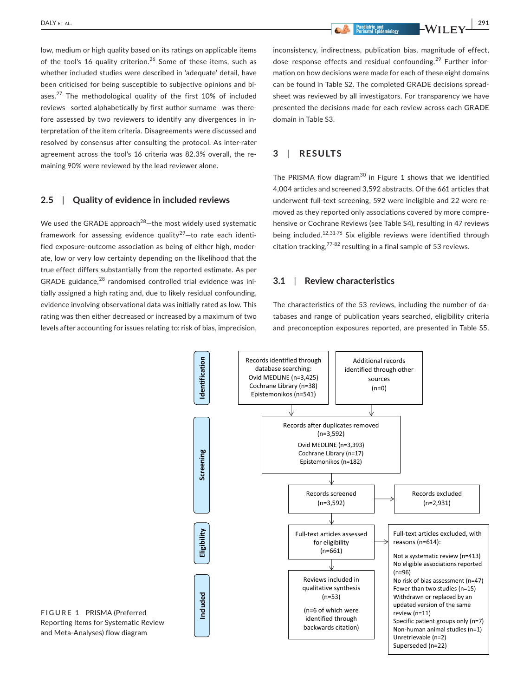**DALY** et al. **1911 1912 1913 1914 1916 1917 1918 1918 1918 1918 1918 1918 1918 1918 1918 1918 1918 1918 1918 1918 1918 1918 1918 1918 1918 1918 1918 1918 1918 191** 

low, medium or high quality based on its ratings on applicable items of the tool's 16 quality criterion.<sup>26</sup> Some of these items, such as whether included studies were described in 'adequate' detail, have been criticised for being susceptible to subjective opinions and biases.<sup>27</sup> The methodological quality of the first 10% of included reviews—sorted alphabetically by first author surname—was therefore assessed by two reviewers to identify any divergences in interpretation of the item criteria. Disagreements were discussed and resolved by consensus after consulting the protocol. As inter-rater agreement across the tool's 16 criteria was 82.3% overall, the remaining 90% were reviewed by the lead reviewer alone.

#### **2.5**  | **Quality of evidence in included reviews**

We used the GRADE approach $^{28}$ -the most widely used systematic framework for assessing evidence quality<sup>29</sup>-to rate each identified exposure-outcome association as being of either high, moderate, low or very low certainty depending on the likelihood that the true effect differs substantially from the reported estimate. As per GRADE guidance, $^{28}$  randomised controlled trial evidence was initially assigned a high rating and, due to likely residual confounding, evidence involving observational data was initially rated as low. This rating was then either decreased or increased by a maximum of two levels after accounting for issues relating to: risk of bias, imprecision, inconsistency, indirectness, publication bias, magnitude of effect, dose–response effects and residual confounding.29 Further information on how decisions were made for each of these eight domains can be found in Table S2. The completed GRADE decisions spreadsheet was reviewed by all investigators. For transparency we have presented the decisions made for each review across each GRADE domain in Table S3.

# **3**  | **RESULTS**

The PRISMA flow diagram<sup>30</sup> in Figure 1 shows that we identified 4,004 articles and screened 3,592 abstracts. Of the 661 articles that underwent full-text screening, 592 were ineligible and 22 were removed as they reported only associations covered by more comprehensive or Cochrane Reviews (see Table S4), resulting in 47 reviews being included.<sup>12,31-76</sup> Six eligible reviews were identified through citation tracking, $77-82$  resulting in a final sample of 53 reviews.

# **3.1**  | **Review characteristics**

The characteristics of the 53 reviews, including the number of databases and range of publication years searched, eligibility criteria and preconception exposures reported, are presented in Table S5.



**FIGURE 1** PRISMA (Preferred Reporting Items for Systematic Review and Meta-Analyses) flow diagram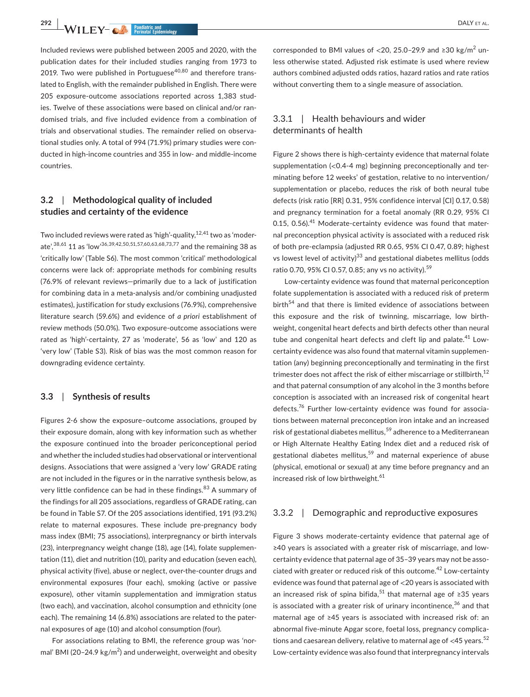**292 • WILEY- CONFIDENTIAL Exidential Exidential Exidential Continuum of the CONFIDENT AL.** 

Included reviews were published between 2005 and 2020, with the publication dates for their included studies ranging from 1973 to 2019. Two were published in Portuguese $40,80$  and therefore translated to English, with the remainder published in English. There were 205 exposure-outcome associations reported across 1,383 studies. Twelve of these associations were based on clinical and/or randomised trials, and five included evidence from a combination of trials and observational studies. The remainder relied on observational studies only. A total of 994 (71.9%) primary studies were conducted in high-income countries and 355 in low- and middle-income countries.

# **3.2**  | **Methodological quality of included studies and certainty of the evidence**

Two included reviews were rated as 'high'-quality,<sup>12,41</sup> two as 'moderate', 38,61 11 as 'low' 36, 39, 42, 50, 51, 57, 60, 63, 68, 73, 77 and the remaining 38 as 'critically low' (Table S6). The most common 'critical' methodological concerns were lack of: appropriate methods for combining results (76.9% of relevant reviews—primarily due to a lack of justification for combining data in a meta-analysis and/or combining unadjusted estimates), justification for study exclusions (76.9%), comprehensive literature search (59.6%) and evidence of *a priori* establishment of review methods (50.0%). Two exposure-outcome associations were rated as 'high'-certainty, 27 as 'moderate', 56 as 'low' and 120 as 'very low' (Table S3). Risk of bias was the most common reason for downgrading evidence certainty.

### **3.3**  | **Synthesis of results**

Figures 2-6 show the exposure–outcome associations, grouped by their exposure domain, along with key information such as whether the exposure continued into the broader periconceptional period and whether the included studies had observational or interventional designs. Associations that were assigned a 'very low' GRADE rating are not included in the figures or in the narrative synthesis below, as very little confidence can be had in these findings.<sup>83</sup> A summary of the findings for all 205 associations, regardless of GRADE rating, can be found in Table S7. Of the 205 associations identified, 191 (93.2%) relate to maternal exposures. These include pre-pregnancy body mass index (BMI; 75 associations), interpregnancy or birth intervals (23), interpregnancy weight change (18), age (14), folate supplementation (11), diet and nutrition (10), parity and education (seven each), physical activity (five), abuse or neglect, over-the-counter drugs and environmental exposures (four each), smoking (active or passive exposure), other vitamin supplementation and immigration status (two each), and vaccination, alcohol consumption and ethnicity (one each). The remaining 14 (6.8%) associations are related to the paternal exposures of age (10) and alcohol consumption (four).

For associations relating to BMI, the reference group was 'normal' BMI (20–24.9 kg/m<sup>2</sup>) and underweight, overweight and obesity

corresponded to BMI values of  $<$  20, 25.0-29.9 and ≥30 kg/m<sup>2</sup> unless otherwise stated. Adjusted risk estimate is used where review authors combined adjusted odds ratios, hazard ratios and rate ratios without converting them to a single measure of association.

# 3.3.1 | Health behaviours and wider determinants of health

Figure 2 shows there is high-certainty evidence that maternal folate supplementation (<0.4-4 mg) beginning preconceptionally and terminating before 12 weeks' of gestation, relative to no intervention/ supplementation or placebo, reduces the risk of both neural tube defects (risk ratio [RR] 0.31, 95% confidence interval [CI] 0.17, 0.58) and pregnancy termination for a foetal anomaly (RR 0.29, 95% CI 0.15, 0.56).<sup>41</sup> Moderate-certainty evidence was found that maternal preconception physical activity is associated with a reduced risk of both pre-eclampsia (adjusted RR 0.65, 95% CI 0.47, 0.89; highest vs lowest level of activity)<sup>33</sup> and gestational diabetes mellitus (odds ratio 0.70, 95% CI 0.57, 0.85; any vs no activity).<sup>59</sup>

Low-certainty evidence was found that maternal periconception folate supplementation is associated with a reduced risk of preterm birth<sup>54</sup> and that there is limited evidence of associations between this exposure and the risk of twinning, miscarriage, low birthweight, congenital heart defects and birth defects other than neural tube and congenital heart defects and cleft lip and palate.<sup>41</sup> Lowcertainty evidence was also found that maternal vitamin supplementation (any) beginning preconceptionally and terminating in the first trimester does not affect the risk of either miscarriage or stillbirth,  $^{12}$ and that paternal consumption of any alcohol in the 3 months before conception is associated with an increased risk of congenital heart defects.<sup>76</sup> Further low-certainty evidence was found for associations between maternal preconception iron intake and an increased risk of gestational diabetes mellitus,<sup>59</sup> adherence to a Mediterranean or High Alternate Healthy Eating Index diet and a reduced risk of gestational diabetes mellitus,<sup>59</sup> and maternal experience of abuse (physical, emotional or sexual) at any time before pregnancy and an increased risk of low birthweight.<sup>61</sup>

### 3.3.2 | Demographic and reproductive exposures

Figure 3 shows moderate-certainty evidence that paternal age of ≥40 years is associated with a greater risk of miscarriage, and lowcertainty evidence that paternal age of 35–39 years may not be associated with greater or reduced risk of this outcome.42 Low-certainty evidence was found that paternal age of <20 years is associated with an increased risk of spina bifida,<sup>51</sup> that maternal age of ≥35 years is associated with a greater risk of urinary incontinence,  $36$  and that maternal age of ≥45 years is associated with increased risk of: an abnormal five-minute Apgar score, foetal loss, pregnancy complications and caesarean delivery, relative to maternal age of  $\langle 45 \rangle$  years.<sup>52</sup> Low-certainty evidence was also found that interpregnancy intervals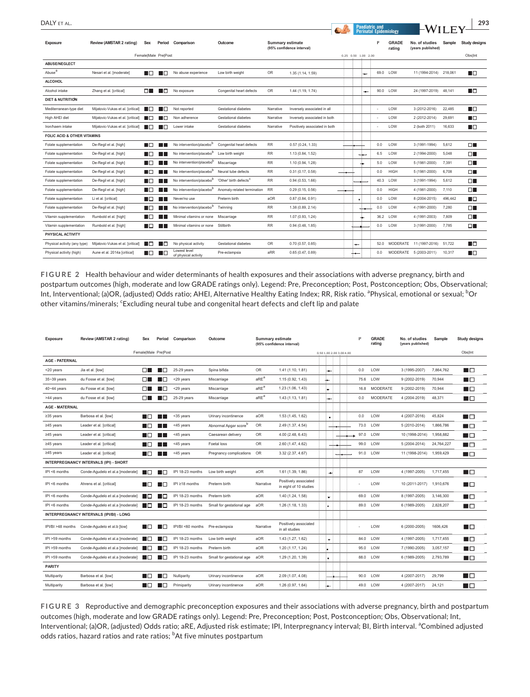| DALY FT AL.                            |                                   |            |                      |                                      |                                    |                         |                               |  |  |   |                     | <b>Paediatric and</b>                         |                        |                                     | 293     |                      |
|----------------------------------------|-----------------------------------|------------|----------------------|--------------------------------------|------------------------------------|-------------------------|-------------------------------|--|--|---|---------------------|-----------------------------------------------|------------------------|-------------------------------------|---------|----------------------|
| <b>Exposure</b>                        | Review (AMSTAR 2 rating)          | <b>Sex</b> |                      | Period Comparison                    | Outcome                            | <b>Summary estimate</b> | (95% confidence interval)     |  |  |   |                     | <b>Perinatal Epidemiology</b><br>$\mathbb{R}$ | <b>GRADE</b><br>rating | No. of studies<br>(years published) | Sample  | <b>Study designs</b> |
|                                        |                                   |            | Female Male Pre Post |                                      |                                    |                         |                               |  |  |   | 0.25 0.50 1.00 2.00 |                                               |                        |                                     |         | Obs Int              |
| ABUSE/NEGLECT                          |                                   |            |                      |                                      |                                    |                         |                               |  |  |   |                     |                                               |                        |                                     |         |                      |
| Abuse <sup>a</sup>                     | Nesari et al. [moderate]          | I IO       | l In                 | No abuse experience                  | Low birth weight                   | <b>OR</b>               | 1.35 (1.14, 1.59)             |  |  |   | ÷                   |                                               | 69.0 LOW               | 11 (1994-2014) 218,061              |         | ПП                   |
| <b>ALCOHOL</b>                         |                                   |            |                      |                                      |                                    |                         |                               |  |  |   |                     |                                               |                        |                                     |         |                      |
| Alcohol intake                         | Zhang et al. [critical]           | nп         | I I FI               | No exposure                          | Congenital heart defects           | <b>OR</b>               | 1.44 (1.19, 1.74)             |  |  |   | ÷                   |                                               | 90.0 LOW               | 24 (1997-2019) 48.141               |         | ПП                   |
| <b>DIET &amp; NUTRITION</b>            |                                   |            |                      |                                      |                                    |                         |                               |  |  |   |                     |                                               |                        |                                     |         |                      |
| Mediterranean-type diet                | Mijatovic-Vukas et al. [critical] | ШП         | l ITI                | Not reported                         | Gestational diabetes               | Narrative               | Inversely associated in all   |  |  |   |                     |                                               | LOW                    | 3 (2012-2016)                       | 22,485  | ПO                   |
| High AHEI diet                         | Mijatovic-Vukas et al. [critical] | 88 H       | .                    | Non adherence                        | Gestational diabetes               | Narrative               | Inversely associated in both  |  |  |   |                     |                                               | LOW                    | 2 (2012-2014)                       | 29,691  | ПE                   |
| Iron/haem intake                       | Mijatovic-Vukas et al. [critical] | ШП         |                      | Lower intake                         | Gestational diabetes               | Narrative               | Positively associated in both |  |  |   |                     |                                               | LOW                    | 2 (both 2011)                       | 16.633  | ПE                   |
| <b>FOLIC ACID &amp; OTHER VITAMINS</b> |                                   |            |                      |                                      |                                    |                         |                               |  |  |   |                     |                                               |                        |                                     |         |                      |
| Folate supplementation                 | De-Regil et al. [high]            | ПΠ         | l II.                | No intervention/placebob             | Congenital heart defects           | <b>RR</b>               | 0.57(0.24, 1.33)              |  |  |   |                     | 0.0                                           | LOW                    | 3 (1991-1994)                       | 5.612   | $\Box^-$             |
| Folate supplementation                 | De-Regil et al. [high]            | I ITI      | H.                   | No intervention/placebob             | Low birth weight                   | <b>RR</b>               | 1.13 (0.84, 1.52)             |  |  |   | --                  | 6.5                                           | LOW                    | 2 (1994-2000)                       | 5.048   | DГ                   |
| Folate supplementation                 | De-Regil et al. [high]            | HП         |                      | No intervention/placebo              | Miscarriage                        | <b>RR</b>               | 1.10 (0.94, 1.28)             |  |  |   | ۰.                  | 5.0                                           | LOW                    | 5 (1981-2000)                       | 7,391   | $\Box$               |
| Folate supplementation                 | De-Regil et al. [high]            | HП         | a ka                 | No intervention/placebob             | Neural tube defects                | <b>RR</b>               | 0.31(0.17, 0.58)              |  |  |   |                     | 0.0                                           | <b>HIGH</b>            | 5 (1981-2000)                       | 6,708   | $\Box$               |
| Folate supplementation                 | De-Regil et al. [high]            | HП         | - 11 -               | No intervention/placebob             | 'Other' birth defects <sup>c</sup> | <b>RR</b>               | 0.94(0.53, 1.66)              |  |  |   |                     |                                               | 40.3 LOW               | 3 (1991-1994)                       | 5,612   | $\Box$               |
| Folate supplementation                 | De-Regil et al. [high]            | HO.        |                      | No intervention/placebob             | Anomaly-related termination        | <b>RR</b>               | 0.29(0.15, 0.56)              |  |  |   |                     | 0.0                                           | <b>HIGH</b>            | 4 (1981-2000)                       | 7,110   | ΠГ                   |
| Folate supplementation                 | Li et al. [critical]              | LЮ         | H.                   | Never/no use                         | Preterm birth                      | aOR                     | 0.87(0.84, 0.91)              |  |  | ٠ |                     | 0.0                                           | LOW                    | 8 (2004-2015)                       | 496,442 | ПΠ                   |
| Folate supplementation                 | De-Regil et al. [high]            | I IN       |                      | No intervention/placebob             | Twinning                           | <b>RR</b>               | 1.38 (0.89, 2.14)             |  |  |   |                     | 0.0                                           | LOW                    | 4 (1991-2000)                       | 7,280   | $\Box$               |
| Vitamin supplementation                | Rumbold et al. [high]             | - ITT      | - 11 -               | Minimal vitamins or none             | Miscarriage                        | <b>RR</b>               | 1.07 (0.93, 1.24)             |  |  |   |                     |                                               | 36.2 LOW               | 4 (1991-2003)                       | 7,809   | DГ                   |
| Vitamin supplementation                | Rumbold et al. [high]             | ПO         | l III.               | Minimal vitamins or none             | Stillbirth                         | <b>RR</b>               | 0.94(0.48, 1.85)              |  |  |   |                     | 0.0                                           | LOW                    | 3 (1991-2000)                       | 7,785   | DГ                   |
| PHYSICAL ACTIVITY                      |                                   |            |                      |                                      |                                    |                         |                               |  |  |   |                     |                                               |                        |                                     |         |                      |
| Physical activity (any type)           | Mijatovic-Vukas et al. [critical] | ПO         | I I FI               | No physical activity                 | Gestational diabetes               | OR                      | 0.70(0.57, 0.85)              |  |  |   |                     | 52.0                                          |                        | MODERATE 11 (1997-2016) 51,722      |         | ПO                   |
| Physical activity (high)               | Aune et al. 2014a [critical]      | ПO         | I IF                 | Lowest level<br>of physical activity | Pre-eclampsia                      | aRR                     | 0.65(0.47, 0.89)              |  |  |   |                     | 0.0                                           |                        | MODERATE 5 (2003-2011)              | 10,317  | ПE                   |

**FIGURE 2** Health behaviour and wider determinants of health exposures and their associations with adverse pregnancy, birth and postpartum outcomes (high, moderate and low GRADE ratings only). Legend: Pre, Preconception; Post, Postconception; Obs, Observational; Int, Interventional; (a)OR, (adjusted) Odds ratio; AHEI, Alternative Healthy Eating Index; RR, Risk ratio. <sup>a</sup>Physical, emotional or sexual; <sup>b</sup>Or other vitamins/minerals; 'Excluding neural tube and congenital heart defects and cleft lip and palate

| <b>Exposure</b>                        | Review (AMSTAR 2 rating)                 | <b>Sex</b> | Period               | Comparison                      | Outcome                           | <b>Summary estimate</b> | (95% confidence interval)                       |  |                | 2                        | <b>GRADE</b><br>rating | No. of studies<br>(years published) | Sample         | <b>Study designs</b> |                |
|----------------------------------------|------------------------------------------|------------|----------------------|---------------------------------|-----------------------------------|-------------------------|-------------------------------------------------|--|----------------|--------------------------|------------------------|-------------------------------------|----------------|----------------------|----------------|
|                                        |                                          |            | FemalelMale PrelPost |                                 |                                   |                         |                                                 |  |                | 0.50 1.00 2.00 3.00 4.00 |                        |                                     |                |                      | Obslint        |
| <b>AGE - PATERNAL</b>                  |                                          |            |                      |                                 |                                   |                         |                                                 |  |                |                          |                        |                                     |                |                      |                |
| <20 years                              | Jia et al. [low]                         | ПO         | H I ET               | $25-29$ years                   | Spina bifida                      | OR                      | 1.41 (1.10, 1.81)                               |  |                |                          | 0.0                    | LOW                                 | 3 (1995-2007)  | 7,864,762            | H O            |
| 35~39 years                            | du Fosse et al. [low]                    | $\Box$     | .                    | <29 years                       | Miscarriage                       | aRE <sup>a</sup>        | 1.15 (0.92, 1.43)                               |  | ÷              |                          | 75.6                   | LOW                                 | 9 (2002-2019)  | 70,944               | ■□             |
| $40 - 44$ years                        | du Fosse et al. [low]                    | ПL         | . .                  | <29 years                       | Miscarriage                       | aRE <sup>a</sup>        | 1.23 (1.06, 1.43)                               |  | le.            |                          | 16.8                   | MODERATE                            | 9 (2002-2019)  | 70,944               | H O            |
| >44 years                              | du Fosse et al. [low]                    | ПL.        | H I ET               | $25-29$ years                   | Miscarriage                       | aRE <sup>a</sup>        | 1.43 (1.13, 1.81)                               |  | ÷              |                          | 0.0                    | <b>MODERATE</b>                     | 4 (2004-2019)  | 48,371               | ■□             |
| <b>AGE - MATERNAL</b>                  |                                          |            |                      |                                 |                                   |                         |                                                 |  |                |                          |                        |                                     |                |                      |                |
| $≥35$ years                            | Barbosa et al. [low]                     | IГ         | . .                  | <35 years                       | Urinary incontinence              | aOR                     | 1.53 (1.45, 1.62)                               |  | $\mathbf{u}$   |                          | 0.0                    | LOW                                 | 4 (2007-2016)  | 45.824               | $\blacksquare$ |
| $≥45$ years                            | Leader et al. [critical]                 | l II.      | . .                  | <45 years                       | Abnormal Apgar score <sup>b</sup> | OR                      | 2.49 (1.37, 4.54)                               |  |                |                          | 73.0                   | LOW                                 | 5 (2010-2014)  | 1.866.786            | l D            |
| $≥45$ years                            | Leader et al. [critical]                 | l ITI      | a a shekara          | <45 years                       | Caesarean delivery                | OR                      | 4.00 (2.48, 6.43)                               |  |                |                          | 97.0                   | LOW                                 | 10 (1998-2014) | 1,958,882            | n i O          |
| $≥45$ years                            | Leader et al. [critical]                 | ШT         |                      | <45 years                       | Foetal loss                       | OR                      | 2.60 (1.47, 4.62)                               |  |                |                          | 99.0                   | LOW                                 | 5 (2004-2014)  | 24,764,227           | n D            |
| ≥45 years                              | Leader et al. [critical]                 | I ITI      | a a shekara          | <45 years                       | Pregnancy complications           | <b>OR</b>               | 3.32 (2.37, 4.67)                               |  |                |                          |                        | 91.0 LOW                            | 11 (1998-2014) | 1,959,429            | l O            |
| INTERPREGNANCY INTERVALS (IPI) - SHORT |                                          |            |                      |                                 |                                   |                         |                                                 |  |                |                          |                        |                                     |                |                      |                |
| IPI <6 months                          | Conde-Agudelo et al.a [moderate]         | LП         | H EI                 | IPI 18-23 months                | Low birth weight                  | aOR                     | 1.61 (1.39, 1.86)                               |  | $\bullet$      |                          | 87                     | LOW                                 | 4 (1997-2005)  | 1,717,455            | $\blacksquare$ |
| IPI <6 months                          | Ahrens et al. [critical]                 | ШT         | l IT                 | IPI ≥18 months                  | Preterm birth                     | Narrative               | Positively associated<br>in eight of 10 studies |  |                |                          |                        | LOW                                 | 10 (2011-2017) | 1,910,676            | $\blacksquare$ |
| IPI <6 months                          | Conde-Agudelo et al.a [moderate]         | I IO       | . .                  | IPI 18-23 months                | Preterm birth                     | aOR                     | 1.40 (1.24, 1.58)                               |  | ٠.             |                          | 69.0                   | LOW                                 | 8 (1997-2005)  | 3,146,300            | $\blacksquare$ |
| IPI <6 months                          | Conde-Agudelo et al.a [moderate]         | l IT       |                      | IPI 18-23 months                | Small for gestational age         | aOR                     | 1.26 (1.18, 1.33)                               |  |                |                          | 89.0                   | LOW                                 | 6 (1989-2005)  | 2,828,207            | $\blacksquare$ |
|                                        | INTERPREGNANCY INTERVALS (IPI/BI) - LONG |            |                      |                                 |                                   |                         |                                                 |  |                |                          |                        |                                     |                |                      |                |
| IPI/BI >48 months                      | Conde-Agudelo et al.b [low]              | ШT         | H I ET               | IPI/BI <60 months Pre-eclampsia |                                   | Narrative               | Positively associated<br>in all studies         |  |                |                          |                        | LOW                                 | 6 (2000-2005)  | 1606,426             | $\blacksquare$ |
| IPI >59 months                         | Conde-Agudelo et al.a [moderate]         | ПD         | l IT                 | IPI 18-23 months                | Low birth weight                  | aOR                     | 1.43 (1.27, 1.62)                               |  | ٠.             |                          | 84.0                   | LOW                                 | 4 (1997-2005)  | 1,717,455            | $\blacksquare$ |
| IPI >59 months                         | Conde-Agudelo et al.a [moderate]         | . .        | . .                  | IPI 18-23 months                | Preterm birth                     | aOR                     | 1.20 (1.17, 1.24)                               |  |                |                          |                        | 95.0 LOW                            | 7 (1990-2005)  | 3,057,157            | - 10           |
| IPI >59 months                         | Conde-Agudelo et al.a [moderate]         | I ITI      | . .                  | IPI 18-23 months                | Small for gestational age         | aOR                     | 1.29 (1.20, 1.39)                               |  | $\blacksquare$ |                          |                        | 88.0 LOW                            | 6 (1989-2005)  | 2,793,789            | u o            |
| <b>PARITY</b>                          |                                          |            |                      |                                 |                                   |                         |                                                 |  |                |                          |                        |                                     |                |                      |                |
| Multiparity                            | Barbosa et al. [low]                     | ШT         | l In                 | Nulliparity                     | Urinary incontinence              | aOR                     | 2.09 (1.07, 4.08)                               |  |                |                          | 90.0                   | LOW                                 | 4 (2007-2017)  | 29,799               | H O            |
| Multiparity                            | Barbosa et al. [low]                     | LЕ         |                      | Primiparity                     | Urinary incontinence              | aOR                     | 1.26 (0.97, 1.64)                               |  | ÷.             |                          |                        | 49.0 LOW                            | 4 (2007-2017)  | 24,121               | n lei          |

**FIGURE 3** Reproductive and demographic preconception exposures and their associations with adverse pregnancy, birth and postpartum outcomes (high, moderate and low GRADE ratings only). Legend: Pre, Preconception; Post, Postconception; Obs, Observational; Int, Interventional; (a)OR, (adjusted) Odds ratio; aRE, Adjusted risk estimate; IPI, Interpregnancy interval; BI, Birth interval. <sup>a</sup>Combined adjusted odds ratios, hazard ratios and rate ratios; <sup>b</sup>At five minutes postpartum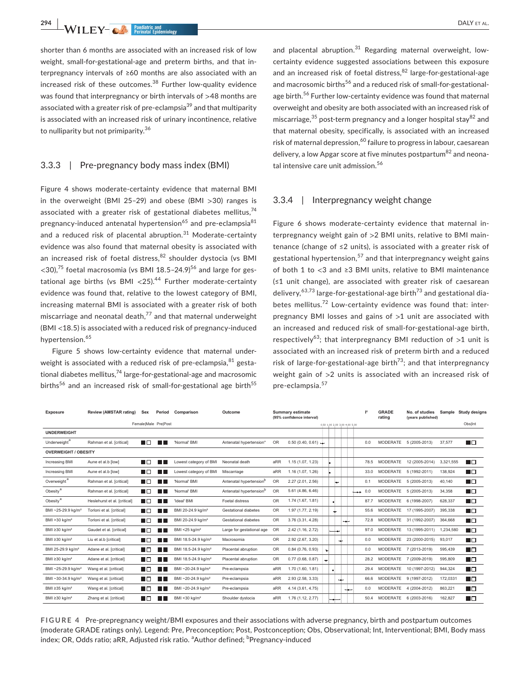**294 <sup>|</sup>**  DALY et al.

shorter than 6 months are associated with an increased risk of low weight, small-for-gestational-age and preterm births, and that interpregnancy intervals of ≥60 months are also associated with an increased risk of these outcomes. $38$  Further low-quality evidence was found that interpregnancy or birth intervals of >48 months are associated with a greater risk of pre-eclampsia<sup>39</sup> and that multiparity is associated with an increased risk of urinary incontinence, relative to nulliparity but not primiparity.<sup>36</sup>

# 3.3.3 | Pre-pregnancy body mass index (BMI)

Figure 4 shows moderate-certainty evidence that maternal BMI in the overweight (BMI 25–29) and obese (BMI >30) ranges is associated with a greater risk of gestational diabetes mellitus, $74$ pregnancy-induced antenatal hypertension<sup>65</sup> and pre-eclampsia<sup>81</sup> and a reduced risk of placental abruption. $31$  Moderate-certainty evidence was also found that maternal obesity is associated with an increased risk of foetal distress,  $82$  shoulder dystocia (vs BMI  $<$ 30).<sup>75</sup> foetal macrosomia (vs BMI 18.5-24.9)<sup>56</sup> and large for gestational age births (vs BMI <25).<sup>44</sup> Further moderate-certainty evidence was found that, relative to the lowest category of BMI, increasing maternal BMI is associated with a greater risk of both miscarriage and neonatal death, $^{77}$  and that maternal underweight (BMI <18.5) is associated with a reduced risk of pregnancy-induced hypertension.<sup>65</sup>

Figure 5 shows low-certainty evidence that maternal underweight is associated with a reduced risk of pre-eclampsia,  $81$  gestational diabetes mellitus, $74$  large-for-gestational-age and macrosomic births<sup>56</sup> and an increased risk of small-for-gestational age birth<sup>55</sup>

and placental abruption. $31$  Regarding maternal overweight, lowcertainty evidence suggested associations between this exposure and an increased risk of foetal distress.<sup>82</sup> large-for-gestational-age and macrosomic births<sup>56</sup> and a reduced risk of small-for-gestationalage birth.<sup>56</sup> Further low-certainty evidence was found that maternal overweight and obesity are both associated with an increased risk of miscarriage,  $35$  post-term pregnancy and a longer hospital stay  $82$  and that maternal obesity, specifically, is associated with an increased risk of maternal depression,  $60$  failure to progress in labour, caesarean delivery, a low Apgar score at five minutes postpartum<sup>82</sup> and neonatal intensive care unit admission.<sup>56</sup>

#### 3.3.4 | Interpregnancy weight change

Figure 6 shows moderate-certainty evidence that maternal interpregnancy weight gain of >2 BMI units, relative to BMI maintenance (change of ≤2 units), is associated with a greater risk of gestational hypertension,  $57$  and that interpregnancy weight gains of both 1 to <3 and ≥3 BMI units, relative to BMI maintenance (≤1 unit change), are associated with greater risk of caesarean delivery,<sup>63,73</sup> large-for-gestational-age birth<sup>73</sup> and gestational diabetes mellitus.<sup>72</sup> Low-certainty evidence was found that: interpregnancy BMI losses and gains of >1 unit are associated with an increased and reduced risk of small-for-gestational-age birth, respectively<sup>63</sup>; that interpregnancy BMI reduction of  $>1$  unit is associated with an increased risk of preterm birth and a reduced risk of large-for-gestational-age birth<sup>73</sup>; and that interpregnancy weight gain of >2 units is associated with an increased risk of pre-eclampsia.<sup>57</sup>

| <b>Exposure</b>                 | <b>Review (AMSTAR rating)</b> | Sex           | Period               | Comparison                      | Outcome                             | <b>Summary estimate</b><br>(95% confidence interval) |                                  |   |                |     |      |                              |      | <b>GRADE</b><br>rating | No. of studies<br>(years published) | Sample    | <b>Study designs</b> |
|---------------------------------|-------------------------------|---------------|----------------------|---------------------------------|-------------------------------------|------------------------------------------------------|----------------------------------|---|----------------|-----|------|------------------------------|------|------------------------|-------------------------------------|-----------|----------------------|
|                                 |                               |               | FemalelMale PrelPost |                                 | 0.50 1.00 2.00 3.00 4.00 5.00       |                                                      |                                  |   |                |     |      |                              |      |                        |                                     | Obs Int   |                      |
| <b>UNDERWEIGHT</b>              |                               |               |                      |                                 |                                     |                                                      |                                  |   |                |     |      |                              |      |                        |                                     |           |                      |
| Underweight <sup>a</sup>        | Rahman et al. [critical]      | ПF            | . .                  | 'Normal' BMI                    | Antenatal hypertension*             | <b>OR</b>                                            | $0.50(0.40, 0.61)$ $\rightarrow$ |   |                |     |      |                              | 0.0  | <b>MODERATE</b>        | 5 (2005-2013)                       | 37,577    | m o                  |
| <b>OVERWEIGHT / OBESITY</b>     |                               |               |                      |                                 |                                     |                                                      |                                  |   |                |     |      |                              |      |                        |                                     |           |                      |
| Increasing BMI                  | Aune et al.b [low]            | <b>The Co</b> | . .                  | Lowest category of BMI          | Neonatal death                      | aRR                                                  | 1.15 (1.07, 1.23)                |   |                |     |      |                              | 78.5 | <b>MODERATE</b>        | 12 (2005-2014)                      | 3,321,555 | ПO                   |
| <b>Increasing BMI</b>           | Aune et al.b [low]            | <b>The Co</b> | H.                   | Lowest category of BMI          | Miscarriage                         | aRR                                                  | 1.16 (1.07, 1.26)                |   |                |     |      |                              | 33.0 | MODERATE               | 5 (1992-2011)                       | 138,924   | ПO                   |
| Overweight <sup>a</sup>         | Rahman et al. [critical]      | ПП            | H.                   | 'Normal' BMI                    | Antenatal hypertension <sup>b</sup> | <b>OR</b>                                            | 2.27 (2.01, 2.56)                |   |                | مها |      |                              | 0.1  |                        | MODERATE 5 (2005-2013)              | 40,140    | ПO                   |
| Obesity <sup>a</sup>            | Rahman et al. [critical]      | LIП           | . .                  | 'Normal' BMI                    | Antenatal hypertension <sup>b</sup> | OR                                                   | 5.61 (4.86, 6.46)                |   |                |     |      | $\leftarrow \rightarrow 0.0$ |      | MODERATE               | 5 (2005-2013)                       | 34,358    | <b>The Co</b>        |
| Obesity <sup>a</sup>            | Heslehurst et al. [critical]  | l i T         | a sa T               | 'Ideal' BMI                     | Foetal distress                     | <b>OR</b>                                            | 1.74 (1.67, 1.81)                |   | n.             |     |      |                              | 87.7 | MODERATE               | 6 (1998-2007)                       | 628,337   | L <b>D</b>           |
| BMI ~25-29.9 kg/m <sup>2</sup>  | Torloni et al. [critical]     | <b>START</b>  | . .                  | BMI 20-24.9 kg/m <sup>2</sup>   | Gestational diabetes                | <b>OR</b>                                            | 1.97 (1.77, 2.19)                |   | ÷              |     |      |                              | 55.6 |                        | MODERATE 17 (1995-2007)             | 395.338   | n Ei                 |
| BMI > 30 kg/m <sup>2</sup>      | Torloni et al. [critical]     | H             | . .                  | BMI 20-24.9 kg/m <sup>2</sup>   | <b>Gestational diabetes</b>         | <b>OR</b>                                            | 3.76 (3.31, 4.28)                |   |                |     | ملهب |                              | 72.8 | MODERATE               | 31 (1992-2007)                      | 364,668   | n E                  |
| BMI $\geq$ 30 kg/m <sup>2</sup> | Gaudet et al. [critical]      | H             | . .                  | BMI <25 kg/m <sup>2</sup>       | Large for gestational age           | OR                                                   | 2.42 (1.16, 2.72)                |   |                |     |      |                              | 97.0 | <b>MODERATE</b>        | 13 (1995-2011)                      | 1,234,580 | n E                  |
| BMI $\geq$ 30 kg/m <sup>2</sup> | Liu et al.b [critical]        | <u>нг</u>     | l II.                | BMI 18.5-24.9 kg/m <sup>2</sup> | Macrosomia                          | <b>OR</b>                                            | 2.92 (2.67, 3.20)                |   |                | ÷   |      |                              | 0.0  | <b>MODERATE</b>        | 23 (2000-2015)                      | 93.017    | ПO                   |
| BMI 25-29.9 kg/m <sup>2</sup>   | Adane et al. [critical]       | <b>The Co</b> | . .                  | BMI 18.5-24.9 kg/m <sup>2</sup> | Placental abruption                 | <b>OR</b>                                            | 0.84(0.76, 0.93)                 | ÷ |                |     |      |                              | 0.0  |                        | MODERATE 7 (2013-2019)              | 595.439   | m m                  |
| BMI $\geq$ 30 kg/m <sup>2</sup> | Adane et al. [critical]       | n Fi          | . .                  | BMI 18.5-24.9 kg/m <sup>2</sup> | Placental abruption                 | <b>OR</b>                                            | 0.77(0.68, 0.87)                 | ÷ |                |     |      |                              | 28.2 | <b>MODERATE</b>        | 7 (2009-2019)                       | 595.809   | n E                  |
| BMI ~25-29.9 kg/m <sup>2</sup>  | Wang et al. [critical]        | <b>The Co</b> | H.                   | BMI ~20-24.9 kg/m <sup>2</sup>  | Pre-eclampsia                       | aRR                                                  | 1.70 (1.60, 1.81)                |   | $\blacksquare$ |     |      |                              | 29.4 | <b>MODERATE</b>        | 10 (1997-2012)                      | 944,324   | ПE                   |
| BMI ~30-34.9 kg/m <sup>2</sup>  | Wang et al. [critical]        | <b>START</b>  | H H                  | BMI ~20-24.9 kg/m <sup>2</sup>  | Pre-eclampsia                       | aRR                                                  | 2.93 (2.58, 3.33)                |   |                | ÷   |      |                              | 66.6 | <b>MODERATE</b>        | 9 (1997-2012)                       | 172,0331  | n E                  |
| BMI ≥35 kg/m <sup>2</sup>       | Wang et al. [critical]        | <b>The Co</b> | <b>THE</b>           | BMI ~20-24.9 kg/m <sup>2</sup>  | Pre-eclampsia                       | aRR                                                  | 4.14 (3.61, 4.75)                |   |                |     | -    |                              | 0.0  |                        | MODERATE 4 (2004-2012)              | 863,221   | m m                  |
| BMI $\geq$ 30 kg/m <sup>2</sup> | Zhang et al. [critical]       | ПF            | . .                  | BMI <30 kg/m <sup>2</sup>       | Shoulder dystocia                   | aRR                                                  | 1.76 (1.12, 2.77)                |   | --             |     |      |                              | 50.4 | <b>MODERATE</b>        | 6 (2003-2016)                       | 162,827   | ПD                   |

**FIGURE 4** Pre-prepregnancy weight/BMI exposures and their associations with adverse pregnancy, birth and postpartum outcomes (moderate GRADE ratings only). Legend: Pre, Preconception; Post, Postconception; Obs, Observational; Int, Interventional; BMI, Body mass index; OR, Odds ratio; aRR, Adjusted risk ratio. <sup>a</sup>Author defined; <sup>b</sup>Pregnancy-induced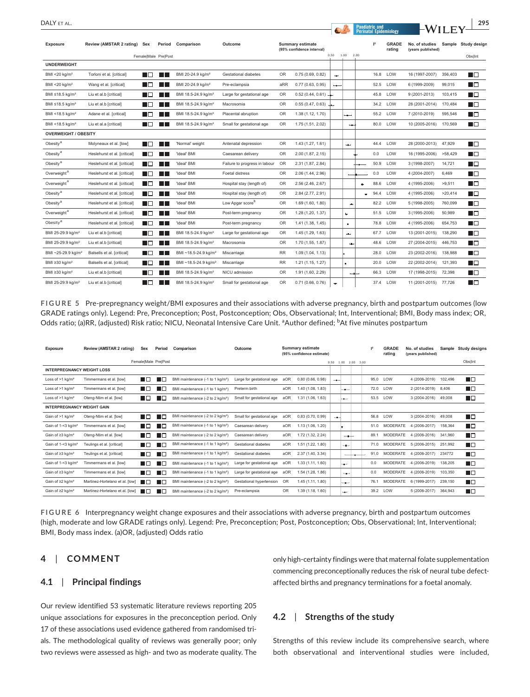| DALY et al.                     |                              |                   |                      |                                  |                               |                                                              |                                  |                          |          |      | <b>Paediatric and</b> | <b>Perinatal Epidemiology</b> |                                     | -WILEY  | 295                            |
|---------------------------------|------------------------------|-------------------|----------------------|----------------------------------|-------------------------------|--------------------------------------------------------------|----------------------------------|--------------------------|----------|------|-----------------------|-------------------------------|-------------------------------------|---------|--------------------------------|
| <b>Exposure</b>                 | Review (AMSTAR 2 rating) Sex |                   | Female Male Pre Post | Period Comparison                | Outcome                       | <b>Summary estimate</b><br>(95% confidence interval)<br>0.50 |                                  |                          | 1.00     | 2.00 | 2                     | <b>GRADE</b><br>rating        | No. of studies<br>(years published) |         | Sample Study design<br>Obs Int |
| <b>UNDERWEIGHT</b>              |                              |                   |                      |                                  |                               |                                                              |                                  |                          |          |      |                       |                               |                                     |         |                                |
| BMI <20 $kg/m2$                 | Torloni et al. [critical]    | l In              | - II                 | BMI 20-24.9 kg/m <sup>2</sup>    | Gestational diabetes          | OR                                                           | 0.75(0.69, 0.82)                 | ÷                        |          |      | 16.8                  | LOW                           | 16 (1997-2007)                      | 356,403 | ПO                             |
| BMI <20 kg/m <sup>2</sup>       | Wang et al. [critical]       | n El              | - II                 | BMI 20-24.9 kg/m <sup>2</sup>    | Pre-eclampsia                 | aRR                                                          | 0.77(0.63, 0.95)                 | $\overline{\phantom{a}}$ |          |      | 52.5                  | LOW                           | 6 (1999-2009)                       | 99,015  | ПE                             |
| BMI ≤18.5 kg/m <sup>2</sup>     | Liu et al.b [critical]       | ПO                | l T                  | BMI 18.5-24.9 kg/m <sup>2</sup>  | Large for gestational age     | OR                                                           | 0.52(0.44, 0.61)                 |                          |          |      | 45.8                  | LOW                           | 9 (2001-2013)                       | 103,415 | ПO                             |
| BMI ≤18.5 kg/m <sup>2</sup>     | Liu et al.b [critical]       | ПП                | a a shekara          | BMI 18.5-24.9 kg/m <sup>2</sup>  | Macrosomia                    | 0R                                                           | $0.55(0.47, 0.63)$ $\rightarrow$ |                          |          |      |                       | 34.2 LOW                      | 28 (2001-2014)                      | 170,484 | ПE                             |
| BMI <18.5 kg/m <sup>2</sup>     | Adane et al. [critical]      | l ITI             | l III.               | BMI 18.5-24.9 kg/m <sup>2</sup>  | Placental abruption           | 0R                                                           | 1.38 (1.12, 1.70)                |                          | <b>.</b> |      |                       | 55.2 LOW                      | 7 (2010-2019)                       | 595,546 | n E                            |
| BMI <18.5 kg/m <sup>2</sup>     | Liu et al.a [critical]       | ПO                | l a l                | BMI 18.5-24.9 kg/m <sup>2</sup>  | Small for gestational age     | 0R                                                           | 1.75 (1.51, 2.02)                |                          | $-1$     |      |                       | 80.0 LOW                      | 10 (2005-2016)                      | 170,569 | n p                            |
| <b>OVERWEIGHT / OBESITY</b>     |                              |                   |                      |                                  |                               |                                                              |                                  |                          |          |      |                       |                               |                                     |         |                                |
| Obesity <sup>a</sup>            | Molyneaux et al. [low]       | ПN                | I I                  | 'Normal' weight                  | Antenatal depression          | OR                                                           | 1.43 (1.27, 1.61)                |                          | ÷        |      | 44.4                  | LOW                           | 28 (2000-2013)                      | 47,929  | ПO                             |
| Obesity <sup>a</sup>            | Heslehurst et al. [critical] | I IO              | a a shekara          | 'Ideal' BMI                      | Caesarean delivery            | OR                                                           | 2.00 (1.87, 2.15)                |                          |          |      | 0.0                   | LOW                           | 16 (1995-2006)                      | >58,429 | ПO                             |
| Obesity <sup>a</sup>            | Heslehurst et al. [critical] | ПП                | <b>Tara</b>          | 'Ideal' BMI                      | Failure to progress in labour | OR                                                           | 2.31 (1.87, 2.84)                |                          |          |      | 50.9                  | LOW                           | 3 (1998-2007)                       | 14,721  | ПO                             |
| Overweight <sup>a</sup>         | Heslehurst et al. [critical] | LП                | <b>Tara</b>          | 'Ideal' BMI                      | Foetal distress               | OR                                                           | 2.06 (1.44, 2.96)                |                          |          |      | 0.0                   | LOW                           | 4 (2004-2007)                       | 6,469   | ПO                             |
| Overweight <sup>a</sup>         | Heslehurst et al. [critical] | ПO                | l III.               | 'Ideal' BMI                      | Hospital stay (length of)     | OR                                                           | 2.56 (2.46, 2.67)                |                          |          | œ.   | 88.6                  | LOW                           | 4 (1995-2006)                       | >9,511  | ПO                             |
| Obesity <sup>a</sup>            | Heslehurst et al. [critical] | HП                | l III.               | 'Ideal' BMI                      | Hospital stay (length of)     | 0R                                                           | 2.84 (2.77, 2.91)                |                          |          |      | 94.4                  | LOW                           | 4 (1995-2006)                       | >20,414 | ПO                             |
| Obesity <sup>a</sup>            | Heslehurst et al. [critical] | ПO                | <b>TILL</b>          | 'Ideal' BMI                      | Low Apgar score <sup>b</sup>  | OR                                                           | 1.69 (1.60, 1.80)                |                          | ÷        |      |                       | 82.2 LOW                      | 5 (1998-2005)                       | 760,099 | ПO                             |
| Overweight <sup>a</sup>         | Heslehurst et al. [critical] | n Ei              | a li                 | 'Ideal' BMI                      | Post-term pregnancy           | OR                                                           | 1.28 (1.20, 1.37)                |                          | ÷        |      | 51.5                  | LOW                           | 3 (1995-2006)                       | 50,989  | ПO                             |
| Obesity <sup>a</sup>            | Heslehurst et al. [critical] | H E               | <b>Tara</b>          | 'Ideal' BMI                      | Post-term pregnancy           | OR                                                           | 1.41 (1.38, 1.45)                |                          | ٠        |      | 78.8                  | LOW                           | 4 (1995-2006)                       | 654,753 | ПO                             |
| BMI 25-29.9 kg/m <sup>2</sup>   | Liu et al.b [critical]       | l In              | - II                 | BMI 18.5-24.9 kg/m <sup>2</sup>  | Large for gestational age     | OR                                                           | 1.45 (1.29, 1.63)                |                          | ÷        |      | 67.7                  | LOW                           | 13 (2001-2015)                      | 138,290 | ПO                             |
| BMI 25-29.9 kg/m <sup>2</sup>   | Liu et al.b [critical]       | n n               | a a shekara          | BMI 18.5-24.9 kg/m <sup>2</sup>  | Macrosomia                    | OR                                                           | 1.70 (1.55, 1.87)                |                          | ÷        |      | 48.6                  | LOW                           | 27 (2004-2015)                      | 446,753 | ПO                             |
| BMI ~25-29.9 kg/m <sup>2</sup>  | Balsells et al. [critical]   | <b>TELEVISION</b> | <b>TILL</b>          | BMI ~18.5-24.9 kg/m <sup>2</sup> | Miscarriage                   | <b>RR</b>                                                    | 1.09 (1.04, 1.13)                |                          |          |      | 28.0                  | LOW                           | 23 (2002-2016)                      | 138,988 | n E                            |
| BMI ≥30 kg/m <sup>2</sup>       | Balsells et al. [critical]   | ПO                | - II                 | BMI ~18.5-24.9 kg/m <sup>2</sup> | Miscarriage                   | <b>RR</b>                                                    | 1.21(1.15, 1.27)                 |                          | п.       |      | 20.0                  | LOW                           | 22 (2002-2014)                      | 121,393 | ПO                             |
| BMI $\geq$ 30 kg/m <sup>2</sup> | Liu et al.b [critical]       | n n               | <b>STATISTICS</b>    | BMI 18.5-24.9 kg/m <sup>2</sup>  | NICU admission                | OR                                                           | 1.91 (1.60, 2.29)                |                          |          |      | 66.3                  | LOW                           | 17 (1998-2015)                      | 72,398  | ПO                             |
| BMI 25-29.9 kg/m <sup>2</sup>   | Liu et al.b [critical]       | ПП                | l a l                | BMI 18.5-24.9 kg/m <sup>2</sup>  | Small for gestational age     | OR                                                           | 0.71(0.66, 0.76)                 | ÷                        |          |      | 37.4                  | LOW                           | 11 (2001-2015) 77,726               |         | ПE                             |

**FIGURE 5** Pre-prepregnancy weight/BMI exposures and their associations with adverse pregnancy, birth and postpartum outcomes (low GRADE ratings only). Legend: Pre, Preconception; Post, Postconception; Obs, Observational; Int, Interventional; BMI, Body mass index; OR, Odds ratio; (a)RR, (adjusted) Risk ratio; NICU, Neonatal Intensive Care Unit. <sup>a</sup>Author defined; <sup>b</sup>At five minutes postpartum

| <b>Exposure</b>                    | Review (AMSTAR 2 rating)        | <b>Sex</b>    | Period               | Comparison                                   | Outcome                   |           | <b>Summary estimate</b><br>(95% confidence estimate) |      |               |                             | 1 <sup>2</sup> |      | <b>GRADE</b><br>rating | No. of studies<br>(years published) |         | Sample Study designs |
|------------------------------------|---------------------------------|---------------|----------------------|----------------------------------------------|---------------------------|-----------|------------------------------------------------------|------|---------------|-----------------------------|----------------|------|------------------------|-------------------------------------|---------|----------------------|
|                                    |                                 |               | Female Male PrelPost |                                              |                           |           |                                                      |      |               | $0.50$ $1.00$ $2.00$ $3.00$ |                |      |                        |                                     |         | Obs Int              |
| <b>INTERPREGNANCY WEIGHT LOSS</b>  |                                 |               |                      |                                              |                           |           |                                                      |      |               |                             |                |      |                        |                                     |         |                      |
| Loss of $>1$ kg/m <sup>2</sup>     | Timmermans et al. [low]         | <b>The Co</b> | IC                   | BMI maintenance (-1 to 1 kg/m <sup>2</sup> ) | Large for gestational age | aOR       | 0.80(0.66, 0.98)                                     | $-$  |               |                             |                | 95.0 | LOW                    | 4 (2006-2019)                       | 102,496 | ПO                   |
| Loss of $>1$ kg/m <sup>2</sup>     | Timmermans et al. [low]         | ПE            | <b>III</b>           | BMI maintenance (-1 to 1 kg/m <sup>2</sup> ) | Preterm birth             | aOR       | 1.40 (1.08, 1.83)                                    |      | $-$           |                             |                |      | 72.0 LOW               | 2 (2014-2019)                       | 8,406   | ПO                   |
| Loss of $>1$ kg/m <sup>2</sup>     | Oteng-Ntim et al. [low]         | ПO            | <b>III</b>           | BMI maintenance (-2 to 2 kg/m <sup>2</sup> ) | Small for gestational age | aOR       | 1.31 (1.06, 1.63)                                    |      | inger i       |                             |                |      | 53.5 LOW               | 3 (2004-2016)                       | 49,008  | ПO                   |
| <b>INTERPREGNANCY WEIGHT GAIN</b>  |                                 |               |                      |                                              |                           |           |                                                      |      |               |                             |                |      |                        |                                     |         |                      |
| Gain of >1 kg/m <sup>2</sup>       | Oteng-Ntim et al. [low]         | <b>The Co</b> | <b>The Co</b>        | BMI maintenance (-2 to 2 kg/m <sup>2</sup> ) | Small for gestational age | aOR       | 0.83(0.70, 0.99)                                     | $-1$ |               |                             |                | 56.8 | LOW                    | 3 (2004-2016)                       | 49,008  | ПO                   |
| Gain of 1-<3 kg/m <sup>2</sup>     | Timmermans et al. [low]         | ПП            | n m                  | BMI maintenance (-1 to 1 kg/m <sup>2</sup> ) | Caesarean delivery        | aOR       | 1.13 (1.06, 1.20)                                    |      | ٠             |                             |                | 51.0 | MODERATE               | 4 (2006-2017)                       | 158.364 | ПO                   |
| Gain of $\geq$ 3 kg/m <sup>2</sup> | Oteng-Ntim et al. [low]         | ПП            | ┰                    | BMI maintenance (-2 to 2 kg/m <sup>2</sup> ) | Caesarean delivery        | aOR       | 1.72 (1.32, 2.24)                                    |      |               | $-$                         |                | 89.1 |                        | MODERATE 4 (2006-2016)              | 341,960 | ПD                   |
| Gain of 1-<3 kg/m <sup>2</sup>     | Teulings et al. [critical]      | ПП            | ┰                    | BMI maintenance (-1 to 1 kg/m <sup>2</sup> ) | Gestational diabetes      | aOR       | 1.51 (1.22, 1.80)                                    |      | $\rightarrow$ |                             |                | 71.0 |                        | MODERATE 5 (2006-2015)              | 251,992 | ПO                   |
| Gain of $\geq$ 3 kg/m <sup>2</sup> | Teulings et al. [critical]      | l In          | H E                  | BMI maintenance (-1 to 1 kg/m <sup>2</sup> ) | Gestational diabetes      | aOR       | 2.37 (1.40, 3.34)                                    |      |               |                             |                | 91.0 | MODERATE               | 4 (2006-2017)                       | 234772  | ПO                   |
| Gain of 1-<3 kg/m <sup>2</sup>     | Timmermans et al. [low]         | H D           | I                    | BMI maintenance (-1 to 1 kg/m <sup>2</sup> ) | Large for gestational age | aOR       | 1.33 (1.11, 1.60)                                    |      | HH.           |                             |                | 0.0  | MODERATE               | 4 (2006-2019)                       | 138,205 | ПO                   |
| Gain of $\geq$ 3 kg/m <sup>2</sup> | Timmermans et al. flow]         | <b>The Co</b> |                      | BMI maintenance (-1 to 1 kg/m <sup>2</sup> ) | Large for gestational age | aOR       | 1.54 (1.28, 1.86)                                    |      | to the con-   |                             |                | 0.0  | <b>MODERATE</b>        | 4 (2006-2019)                       | 103,350 | ПO                   |
| Gain of $\geq$ 2 kg/m <sup>2</sup> | Martinez-Hortelano et al. [low] | <b>The Co</b> | a ka                 | BMI maintenance (-2 to 2 kg/m <sup>2</sup> ) | Gestational hypertension  | OR        | 1.45 (1.11. 1.80)                                    |      | $-1$          |                             |                | 76.1 | <b>MODERATE</b>        | 6 (1999-2017)                       | 239,150 | ПO                   |
| Gain of $\geq$ 2 kg/m <sup>2</sup> | Martinez-Hortelano et al. [low] | a sa Ba       | ╙                    | BMI maintenance (-2 to 2 kg/m <sup>2</sup> ) | Pre-eclampsia             | <b>OR</b> | 1.39 (1.18, 1.60)                                    |      |               |                             |                |      | 39.2 LOW               | 5 (2006-2017)                       | 364,943 | T E                  |

**FIGURE 6** Interpregnancy weight change exposures and their associations with adverse pregnancy, birth and postpartum outcomes (high, moderate and low GRADE ratings only). Legend: Pre, Preconception; Post, Postconception; Obs, Observational; Int, Interventional; BMI, Body mass index. (a)OR, (adjusted) Odds ratio

# **4**  | **COMMENT**

### **4.1**  | **Principal findings**

Our review identified 53 systematic literature reviews reporting 205 unique associations for exposures in the preconception period. Only 17 of these associations used evidence gathered from randomised trials. The methodological quality of reviews was generally poor; only two reviews were assessed as high- and two as moderate quality. The only high-certainty findings were that maternal folate supplementation commencing preconceptionally reduces the risk of neural tube defectaffected births and pregnancy terminations for a foetal anomaly.

# **4.2**  | **Strengths of the study**

Strengths of this review include its comprehensive search, where both observational and interventional studies were included,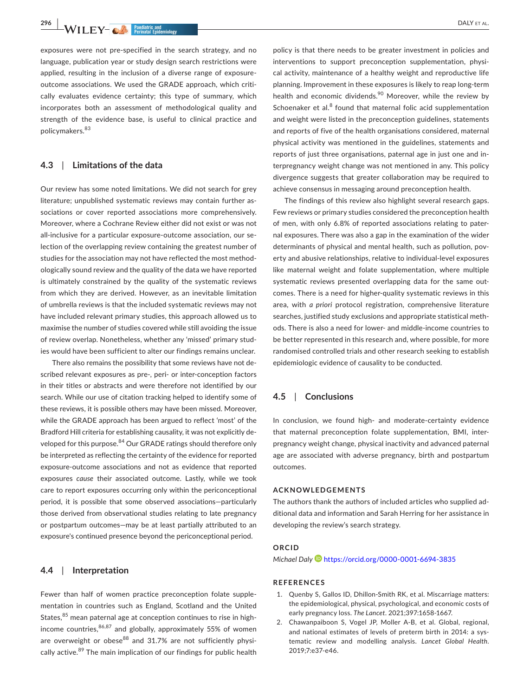**296 • WILEY- CONFIDENTIAL Exidential Exidential Exidential Continues and CONFIDENT AL.** 

exposures were not pre-specified in the search strategy, and no language, publication year or study design search restrictions were applied, resulting in the inclusion of a diverse range of exposureoutcome associations. We used the GRADE approach, which critically evaluates evidence certainty; this type of summary, which incorporates both an assessment of methodological quality and strength of the evidence base, is useful to clinical practice and policymakers.<sup>83</sup>

# **4.3**  | **Limitations of the data**

Our review has some noted limitations. We did not search for grey literature; unpublished systematic reviews may contain further associations or cover reported associations more comprehensively. Moreover, where a Cochrane Review either did not exist or was not all-inclusive for a particular exposure-outcome association, our selection of the overlapping review containing the greatest number of studies for the association may not have reflected the most methodologically sound review and the quality of the data we have reported is ultimately constrained by the quality of the systematic reviews from which they are derived. However, as an inevitable limitation of umbrella reviews is that the included systematic reviews may not have included relevant primary studies, this approach allowed us to maximise the number of studies covered while still avoiding the issue of review overlap. Nonetheless, whether any 'missed' primary studies would have been sufficient to alter our findings remains unclear.

There also remains the possibility that some reviews have not described relevant exposures as pre-, peri- or inter-conception factors in their titles or abstracts and were therefore not identified by our search. While our use of citation tracking helped to identify some of these reviews, it is possible others may have been missed. Moreover, while the GRADE approach has been argued to reflect 'most' of the Bradford Hill criteria for establishing causality, it was not explicitly developed for this purpose.<sup>84</sup> Our GRADE ratings should therefore only be interpreted as reflecting the certainty of the evidence for reported exposure-outcome associations and not as evidence that reported exposures *cause* their associated outcome. Lastly, while we took care to report exposures occurring only within the periconceptional period, it is possible that some observed associations—particularly those derived from observational studies relating to late pregnancy or postpartum outcomes—may be at least partially attributed to an exposure's continued presence beyond the periconceptional period.

#### **4.4**  | **Interpretation**

Fewer than half of women practice preconception folate supplementation in countries such as England, Scotland and the United States, $85$  mean paternal age at conception continues to rise in highincome countries, 86,87 and globally, approximately 55% of women are overweight or obese $88$  and 31.7% are not sufficiently physically active.<sup>89</sup> The main implication of our findings for public health

policy is that there needs to be greater investment in policies and interventions to support preconception supplementation, physical activity, maintenance of a healthy weight and reproductive life planning. Improvement in these exposures is likely to reap long-term health and economic dividends.<sup>90</sup> Moreover, while the review by Schoenaker et al.<sup>8</sup> found that maternal folic acid supplementation and weight were listed in the preconception guidelines, statements and reports of five of the health organisations considered, maternal physical activity was mentioned in the guidelines, statements and reports of just three organisations, paternal age in just one and interpregnancy weight change was not mentioned in any. This policy divergence suggests that greater collaboration may be required to achieve consensus in messaging around preconception health.

The findings of this review also highlight several research gaps. Few reviews or primary studies considered the preconception health of men, with only 6.8% of reported associations relating to paternal exposures. There was also a gap in the examination of the wider determinants of physical and mental health, such as pollution, poverty and abusive relationships, relative to individual-level exposures like maternal weight and folate supplementation, where multiple systematic reviews presented overlapping data for the same outcomes. There is a need for higher-quality systematic reviews in this area, with *a priori* protocol registration, comprehensive literature searches, justified study exclusions and appropriate statistical methods. There is also a need for lower- and middle-income countries to be better represented in this research and, where possible, for more randomised controlled trials and other research seeking to establish epidemiologic evidence of causality to be conducted.

# **4.5**  | **Conclusions**

In conclusion, we found high- and moderate-certainty evidence that maternal preconception folate supplementation, BMI, interpregnancy weight change, physical inactivity and advanced paternal age are associated with adverse pregnancy, birth and postpartum outcomes.

#### **ACKNOWLEDGEMENTS**

The authors thank the authors of included articles who supplied additional data and information and Sarah Herring for her assistance in developing the review's search strategy.

#### **ORCID**

*Michael Dal[y](https://orcid.org/0000-0001-6694-3835)* <https://orcid.org/0000-0001-6694-3835>

#### **REFERENCES**

- 1. Quenby S, Gallos ID, Dhillon-Smith RK, et al. Miscarriage matters: the epidemiological, physical, psychological, and economic costs of early pregnancy loss. *The Lancet*. 2021;397:1658-1667.
- 2. Chawanpaiboon S, Vogel JP, Moller A-B, et al. Global, regional, and national estimates of levels of preterm birth in 2014: a systematic review and modelling analysis. *Lancet Global Health*. 2019;7:e37-e46.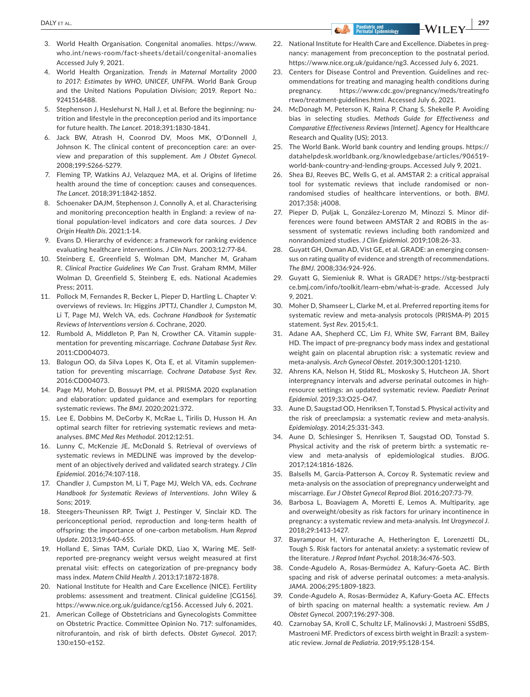- 3. World Health Organisation. Congenital anomalies. [https://www.](https://www.who.int/news-room/fact-sheets/detail/congenital-anomalies) [who.int/news-room/fact-sheet](https://www.who.int/news-room/fact-sheets/detail/congenital-anomalies) s/detail/congenital-anomalies Accessed July 9, 2021.
- 4. World Health Organization. *Trends in Maternal Mortality 2000 to 2017: Estimates by WHO, UNICEF, UNFPA*. World Bank Group and the United Nations Population Division; 2019. Report No.: 9241516488.
- 5. Stephenson J, Heslehurst N, Hall J, et al. Before the beginning: nutrition and lifestyle in the preconception period and its importance for future health. *The Lancet*. 2018;391:1830-1841.
- 6. Jack BW, Atrash H, Coonrod DV, Moos MK, O'Donnell J, Johnson K. The clinical content of preconception care: an overview and preparation of this supplement. *Am J Obstet Gynecol*. 2008;199:S266-S279.
- 7. Fleming TP, Watkins AJ, Velazquez MA, et al. Origins of lifetime health around the time of conception: causes and consequences. *The Lancet*. 2018;391:1842-1852.
- 8. Schoenaker DAJM, Stephenson J, Connolly A, et al. Characterising and monitoring preconception health in England: a review of national population-level indicators and core data sources. *J Dev Origin Health Dis*. 2021;1-14.
- 9. Evans D. Hierarchy of evidence: a framework for ranking evidence evaluating healthcare interventions. *J Clin Nurs*. 2003;12:77-84.
- 10. Steinberg E, Greenfield S, Wolman DM, Mancher M, Graham R. *Clinical Practice Guidelines We Can Trust*. Graham RMM, Miller Wolman D, Greenfield S, Steinberg E, eds. National Academies Press; 2011.
- 11. Pollock M, Fernandes R, Becker L, Pieper D, Hartling L. Chapter V: overviews of reviews. In: Higgins JPTTJ, Chandler J, Cumpston M, Li T, Page MJ, Welch VA, eds. *Cochrane Handbook for Systematic Reviews of Interventions version 6*. Cochrane, 2020.
- 12. Rumbold A, Middleton P, Pan N, Crowther CA. Vitamin supplementation for preventing miscarriage. *Cochrane Database Syst Rev*. 2011:CD004073.
- 13. Balogun OO, da Silva Lopes K, Ota E, et al. Vitamin supplementation for preventing miscarriage. *Cochrane Database Syst Rev*. 2016:CD004073.
- 14. Page MJ, Moher D, Bossuyt PM, et al. PRISMA 2020 explanation and elaboration: updated guidance and exemplars for reporting systematic reviews. *The BMJ*. 2020;2021:372.
- 15. Lee E, Dobbins M, DeCorby K, McRae L, Tirilis D, Husson H. An optimal search filter for retrieving systematic reviews and metaanalyses. *BMC Med Res Methodol*. 2012;12:51.
- 16. Lunny C, McKenzie JE, McDonald S. Retrieval of overviews of systematic reviews in MEDLINE was improved by the development of an objectively derived and validated search strategy. *J Clin Epidemiol*. 2016;74:107-118.
- 17. Chandler J, Cumpston M, Li T, Page MJ, Welch VA, eds. *Cochrane Handbook for Systematic Reviews of Interventions*. John Wiley & Sons; 2019.
- 18. Steegers-Theunissen RP, Twigt J, Pestinger V, Sinclair KD. The periconceptional period, reproduction and long-term health of offspring: the importance of one-carbon metabolism. *Hum Reprod Update*. 2013;19:640-655.
- 19. Holland E, Simas TAM, Curiale DKD, Liao X, Waring ME. Selfreported pre-pregnancy weight versus weight measured at first prenatal visit: effects on categorization of pre-pregnancy body mass index. *Matern Child Health J*. 2013;17:1872-1878.
- 20. National Institute for Health and Care Excellence (NICE). Fertility problems: assessment and treatment. Clinical guideline [CG156]. <https://www.nice.org.uk/guidance/cg156>. Accessed July 6, 2021.
- 21. American College of Obstetricians and Gynecologists Committee on Obstetric Practice. Committee Opinion No. 717: sulfonamides, nitrofurantoin, and risk of birth defects. *Obstet Gynecol*. 2017; 130:e150-e152.
- 22. National Institute for Health Care and Excellence. Diabetes in pregnancy: management from preconception to the postnatal period. <https://www.nice.org.uk/guidance/ng3>. Accessed July 6, 2021.
- 23. Centers for Disease Control and Prevention. Guidelines and recommendations for treating and managing health conditions during pregnancy. [https://www.cdc.gov/pregnancy/meds/treatingfo](https://www.cdc.gov/pregnancy/meds/treatingfortwo/treatment-guidelines.html) [rtwo/treatment-guidelines.html](https://www.cdc.gov/pregnancy/meds/treatingfortwo/treatment-guidelines.html). Accessed July 6, 2021.
- 24. McDonagh M, Peterson K, Raina P, Chang S, Shekelle P. Avoiding bias in selecting studies. *Methods Guide for Effectiveness and Comparative Effectiveness Reviews [Internet]*. Agency for Healthcare Research and Quality (US); 2013.
- 25. The World Bank. World bank country and lending groups. [https://](https://datahelpdesk.worldbank.org/knowledgebase/articles/906519-world-bank-country-and-lending-groups) [datahelpdesk.worldbank.org/knowledgebase/articles/906519](https://datahelpdesk.worldbank.org/knowledgebase/articles/906519-world-bank-country-and-lending-groups) [world-bank-country-and-lending-groups](https://datahelpdesk.worldbank.org/knowledgebase/articles/906519-world-bank-country-and-lending-groups). Accessed July 9, 2021.
- 26. Shea BJ, Reeves BC, Wells G, et al. AMSTAR 2: a critical appraisal tool for systematic reviews that include randomised or nonrandomised studies of healthcare interventions, or both. *BMJ*. 2017;358: j4008.
- 27. Pieper D, Puljak L, González-Lorenzo M, Minozzi S. Minor differences were found between AMSTAR 2 and ROBIS in the assessment of systematic reviews including both randomized and nonrandomized studies. *J Clin Epidemiol*. 2019;108:26-33.
- 28. Guyatt GH, Oxman AD, Vist GE, et al. GRADE: an emerging consensus on rating quality of evidence and strength of recommendations. *The BMJ*. 2008;336:924-926.
- 29. Guyatt G, Siemieniuk R. What is GRADE? [https://stg-bestpracti](https://stg-bestpractice.bmj.com/info/toolkit/learn-ebm/what-is-grade) [ce.bmj.com/info/toolkit/learn-ebm/what-is-grade.](https://stg-bestpractice.bmj.com/info/toolkit/learn-ebm/what-is-grade) Accessed July 9, 2021.
- 30. Moher D, Shamseer L, Clarke M, et al. Preferred reporting items for systematic review and meta-analysis protocols (PRISMA-P) 2015 statement. *Syst Rev*. 2015;4:1.
- 31. Adane AA, Shepherd CC, Lim FJ, White SW, Farrant BM, Bailey HD. The impact of pre-pregnancy body mass index and gestational weight gain on placental abruption risk: a systematic review and meta-analysis. *Arch Gynecol Obstet*. 2019;300:1201-1210.
- 32. Ahrens KA, Nelson H, Stidd RL, Moskosky S, Hutcheon JA. Short interpregnancy intervals and adverse perinatal outcomes in highresource settings: an updated systematic review. *Paediatr Perinat Epidemiol*. 2019;33:O25-O47.
- 33. Aune D, Saugstad OD, Henriksen T, Tonstad S. Physical activity and the risk of preeclampsia: a systematic review and meta-analysis. *Epidemiology*. 2014;25:331-343.
- 34. Aune D, Schlesinger S, Henriksen T, Saugstad OD, Tonstad S. Physical activity and the risk of preterm birth: a systematic review and meta-analysis of epidemiological studies. *BJOG*. 2017;124:1816-1826.
- 35. Balsells M, García-Patterson A, Corcoy R. Systematic review and meta-analysis on the association of prepregnancy underweight and miscarriage. *Eur J Obstet Gynecol Reprod Biol*. 2016;207:73-79.
- 36. Barbosa L, Boaviagem A, Moretti E, Lemos A. Multiparity, age and overweight/obesity as risk factors for urinary incontinence in pregnancy: a systematic review and meta-analysis. *Int Urogynecol J*. 2018;29:1413-1427.
- 37. Bayrampour H, Vinturache A, Hetherington E, Lorenzetti DL, Tough S. Risk factors for antenatal anxiety: a systematic review of the literature. *J Reprod Infant Psychol*. 2018;36:476-503.
- 38. Conde-Agudelo A, Rosas-Bermúdez A, Kafury-Goeta AC. Birth spacing and risk of adverse perinatal outcomes: a meta-analysis. *JAMA*. 2006;295:1809-1823.
- 39. Conde-Agudelo A, Rosas-Bermúdez A, Kafury-Goeta AC. Effects of birth spacing on maternal health: a systematic review. *Am J Obstet Gynecol*. 2007;196:297-308.
- 40. Czarnobay SA, Kroll C, Schultz LF, Malinovski J, Mastroeni SSdBS, Mastroeni MF. Predictors of excess birth weight in Brazil: a systematic review. *Jornal de Pediatria*. 2019;95:128-154.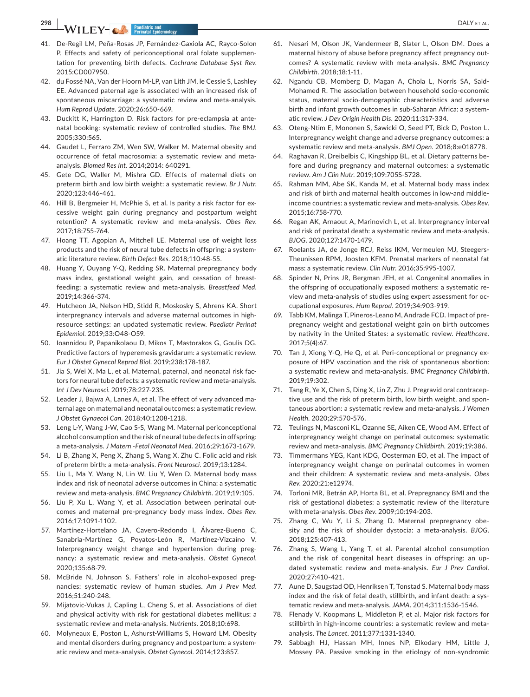**298 WILEY- COLL Pacifiatric and DALY** ET AL.

- 41. De-Regil LM, Peña-Rosas JP, Fernández-Gaxiola AC, Rayco-Solon P. Effects and safety of periconceptional oral folate supplementation for preventing birth defects. *Cochrane Database Syst Rev*. 2015:CD007950.
- 42. du Fossé NA, Van der Hoorn M-LP, van Lith JM, le Cessie S, Lashley EE. Advanced paternal age is associated with an increased risk of spontaneous miscarriage: a systematic review and meta-analysis. *Hum Reprod Update*. 2020;26:650-669.
- 43. Duckitt K, Harrington D. Risk factors for pre-eclampsia at antenatal booking: systematic review of controlled studies. *The BMJ*. 2005;330:565.
- 44. Gaudet L, Ferraro ZM, Wen SW, Walker M. Maternal obesity and occurrence of fetal macrosomia: a systematic review and metaanalysis. *Biomed Res Int*. 2014;2014: 640291.
- 45. Gete DG, Waller M, Mishra GD. Effects of maternal diets on preterm birth and low birth weight: a systematic review. *Br J Nutr*. 2020;123:446-461.
- 46. Hill B, Bergmeier H, McPhie S, et al. Is parity a risk factor for excessive weight gain during pregnancy and postpartum weight retention? A systematic review and meta-analysis. *Obes Rev*. 2017;18:755-764.
- 47. Hoang TT, Agopian A, Mitchell LE. Maternal use of weight loss products and the risk of neural tube defects in offspring: a systematic literature review. *Birth Defect Res*. 2018;110:48-55.
- 48. Huang Y, Ouyang Y-Q, Redding SR. Maternal prepregnancy body mass index, gestational weight gain, and cessation of breastfeeding: a systematic review and meta-analysis. *Breastfeed Med*. 2019;14:366-374.
- 49. Hutcheon JA, Nelson HD, Stidd R, Moskosky S, Ahrens KA. Short interpregnancy intervals and adverse maternal outcomes in highresource settings: an updated systematic review. *Paediatr Perinat Epidemiol*. 2019;33:O48-O59.
- 50. Ioannidou P, Papanikolaou D, Mikos T, Mastorakos G, Goulis DG. Predictive factors of hyperemesis gravidarum: a systematic review. *Eur J Obstet Gynecol Reprod Biol*. 2019;238:178-187.
- 51. Jia S, Wei X, Ma L, et al. Maternal, paternal, and neonatal risk factors for neural tube defects: a systematic review and meta-analysis. *Int J Dev Neurosci*. 2019;78:227-235.
- 52. Leader J, Bajwa A, Lanes A, et al. The effect of very advanced maternal age on maternal and neonatal outcomes: a systematic review. *J Obstet Gynaecol Can*. 2018;40:1208-1218.
- 53. Leng L-Y, Wang J-W, Cao S-S, Wang M. Maternal periconceptional alcohol consumption and the risk of neural tube defects in offspring: a meta-analysis. *J Matern -Fetal Neonatal Med*. 2016;29:1673-1679.
- 54. Li B, Zhang X, Peng X, Zhang S, Wang X, Zhu C. Folic acid and risk of preterm birth: a meta-analysis. *Front Neurosci*. 2019;13:1284.
- 55. Liu L, Ma Y, Wang N, Lin W, Liu Y, Wen D. Maternal body mass index and risk of neonatal adverse outcomes in China: a systematic review and meta-analysis. *BMC Pregnancy Childbirth*. 2019;19:105.
- 56. Liu P, Xu L, Wang Y, et al. Association between perinatal outcomes and maternal pre-pregnancy body mass index. *Obes Rev*. 2016;17:1091-1102.
- 57. Martínez-Hortelano JA, Cavero-Redondo I, Álvarez-Bueno C, Sanabria-Martínez G, Poyatos-León R, Martínez-Vizcaíno V. Interpregnancy weight change and hypertension during pregnancy: a systematic review and meta-analysis. *Obstet Gynecol*. 2020;135:68-79.
- 58. McBride N, Johnson S. Fathers' role in alcohol-exposed pregnancies: systematic review of human studies. *Am J Prev Med*. 2016;51:240-248.
- 59. Mijatovic-Vukas J, Capling L, Cheng S, et al. Associations of diet and physical activity with risk for gestational diabetes mellitus: a systematic review and meta-analysis. *Nutrients*. 2018;10:698.
- 60. Molyneaux E, Poston L, Ashurst-Williams S, Howard LM. Obesity and mental disorders during pregnancy and postpartum: a systematic review and meta-analysis. *Obstet Gynecol*. 2014;123:857.
- 61. Nesari M, Olson JK, Vandermeer B, Slater L, Olson DM. Does a maternal history of abuse before pregnancy affect pregnancy outcomes? A systematic review with meta-analysis. *BMC Pregnancy Childbirth*. 2018;18:1-11.
- 62. Ngandu CB, Momberg D, Magan A, Chola L, Norris SA, Said-Mohamed R. The association between household socio-economic status, maternal socio-demographic characteristics and adverse birth and infant growth outcomes in sub-Saharan Africa: a systematic review. *J Dev Origin Health Dis*. 2020;11:317-334.
- 63. Oteng-Ntim E, Mononen S, Sawicki O, Seed PT, Bick D, Poston L. Interpregnancy weight change and adverse pregnancy outcomes: a systematic review and meta-analysis. *BMJ Open*. 2018;8:e018778.
- 64. Raghavan R, Dreibelbis C, Kingshipp BL, et al. Dietary patterns before and during pregnancy and maternal outcomes: a systematic review. *Am J Clin Nutr*. 2019;109:705S-S728.
- 65. Rahman MM, Abe SK, Kanda M, et al. Maternal body mass index and risk of birth and maternal health outcomes in low-and middleincome countries: a systematic review and meta-analysis. *Obes Rev*. 2015;16:758-770.
- 66. Regan AK, Arnaout A, Marinovich L, et al. Interpregnancy interval and risk of perinatal death: a systematic review and meta-analysis. *BJOG*. 2020;127:1470-1479.
- 67. Roelants JA, de Jonge RCJ, Reiss IKM, Vermeulen MJ, Steegers-Theunissen RPM, Joosten KFM. Prenatal markers of neonatal fat mass: a systematic review. *Clin Nutr*. 2016;35:995-1007.
- 68. Spinder N, Prins JR, Bergman JEH, et al. Congenital anomalies in the offspring of occupationally exposed mothers: a systematic review and meta-analysis of studies using expert assessment for occupational exposures. *Hum Reprod*. 2019;34:903-919.
- 69. Tabb KM, Malinga T, Pineros-Leano M, Andrade FCD. Impact of prepregnancy weight and gestational weight gain on birth outcomes by nativity in the United States: a systematic review. *Healthcare*. 2017;5(4):67.
- 70. Tan J, Xiong Y-Q, He Q, et al. Peri-conceptional or pregnancy exposure of HPV vaccination and the risk of spontaneous abortion: a systematic review and meta-analysis. *BMC Pregnancy Childbirth*. 2019;19:302.
- 71. Tang R, Ye X, Chen S, Ding X, Lin Z, Zhu J. Pregravid oral contraceptive use and the risk of preterm birth, low birth weight, and spontaneous abortion: a systematic review and meta-analysis. *J Women Health*. 2020;29:570-576.
- 72. Teulings N, Masconi KL, Ozanne SE, Aiken CE, Wood AM. Effect of interpregnancy weight change on perinatal outcomes: systematic review and meta-analysis. *BMC Pregnancy Childbirth*. 2019;19:386.
- 73. Timmermans YEG, Kant KDG, Oosterman EO, et al. The impact of interpregnancy weight change on perinatal outcomes in women and their children: A systematic review and meta-analysis. *Obes Rev*. 2020;21:e12974.
- 74. Torloni MR, Betrán AP, Horta BL, et al. Prepregnancy BMI and the risk of gestational diabetes: a systematic review of the literature with meta-analysis. *Obes Rev*. 2009;10:194-203.
- 75. Zhang C, Wu Y, Li S, Zhang D. Maternal prepregnancy obesity and the risk of shoulder dystocia: a meta-analysis. *BJOG*. 2018;125:407-413.
- 76. Zhang S, Wang L, Yang T, et al. Parental alcohol consumption and the risk of congenital heart diseases in offspring: an updated systematic review and meta-analysis. *Eur J Prev Cardiol*. 2020;27:410-421.
- 77. Aune D, Saugstad OD, Henriksen T, Tonstad S. Maternal body mass index and the risk of fetal death, stillbirth, and infant death: a systematic review and meta-analysis. *JAMA*. 2014;311:1536-1546.
- 78. Flenady V, Koopmans L, Middleton P, et al. Major risk factors for stillbirth in high-income countries: a systematic review and metaanalysis. *The Lancet*. 2011;377:1331-1340.
- 79. Sabbagh HJ, Hassan MH, Innes NP, Elkodary HM, Little J, Mossey PA. Passive smoking in the etiology of non-syndromic